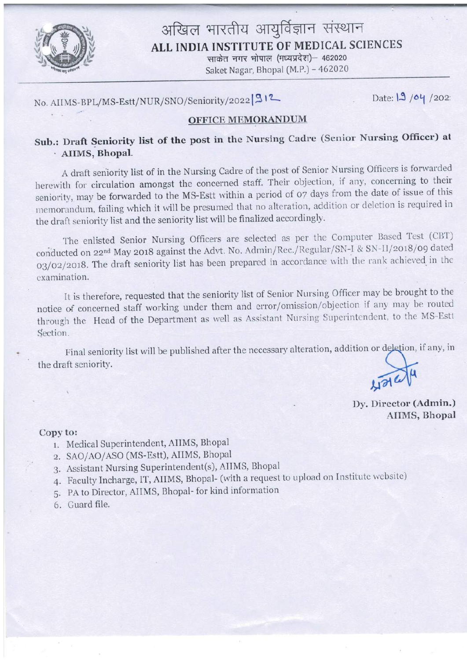

## अखिल भारतीय आयुर्विज्ञान संस्थान ALL INDIA INSTITUTE OF MEDICAL SCIENCES

साकेत नगर भोपाल (मध्यप्रदेश)- 462020 Saket Nagar, Bhopal (M.P.) - 462020

No. AIIMS-BPL/MS-Estt/NUR/SNO/Seniority/2022 912

Date: 19 /04 /202

### **OFFICE MEMORANDUM**

## Sub.: Draft Seniority list of the post in the Nursing Cadre (Senior Nursing Officer) at · AIIMS, Bhopal.

A draft seniority list of in the Nursing Cadre of the post of Senior Nursing Officers is forwarded herewith for circulation amongst the concerned staff. Their objection, if any, concerning to their seniority, may be forwarded to the MS-Estt within a period of 07 days from the date of issue of this memorandum, failing which it will be presumed that no alteration, addition or deletion is required in the draft seniority list and the seniority list will be finalized accordingly.

The enlisted Senior Nursing Officers are selected as per the Computer Based Test (CBT) conducted on 22<sup>nd</sup> May 2018 against the Advt. No. Admin/Rec./Regular/SN-I & SN-II/2018/09 dated 03/02/2018. The draft seniority list has been prepared in accordance with the rank achieved in the examination.

It is therefore, requested that the seniority list of Senior Nursing Officer may be brought to the notice of concerned staff working under them and error/omission/objection if any may be routed through the Head of the Department as well as Assistant Nursing Superintendent, to the MS-Estt Section.

Final seniority list will be published after the necessary alteration, addition or deletion, if any, in the draft seniority.

 $\sqrt{\frac{2}{\mu}}$ 

Dy. Director (Admin.) AIIMS, Bhopal

#### Copy to:

- 1. Medical Superintendent, AIIMS, Bhopal
- 2. SAO/AO/ASO (MS-Estt), AIIMS, Bhopal
- 3. Assistant Nursing Superintendent(s), AIIMS, Bhopal
- 4. Faculty Incharge, IT, AIIMS, Bhopal- (with a request to upload on Institute website)
- 5. PA to Director, AIIMS, Bhopal-for kind information
- 6. Guard file.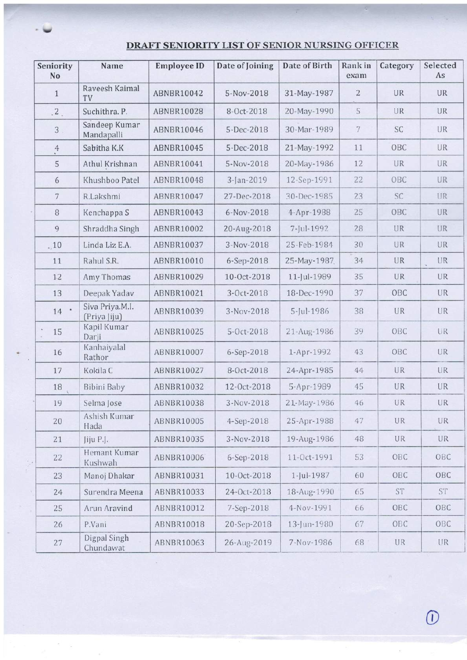#### Category Selected Seniority Name Employee ID Date of Joining Date of Birth Rank in exanl No As Raveesh Kaimal 1 TV | ABNBR10042 | 5-Nov-2018 | 31-May-1987 | 2 | UR | UR 2. Suchithra. P. ABNBR10028 | 8-Oct-2018 | 20-May-1990 | 5 | UR | UR Sandeep Kumar 3 Mandapalli | ABNBR10046 | 5-Dec-2018 | 30-Mar-1989 | 7 | SC | UR 4 Sabitha K.K | ABNBR10045 | 5-Dec-2018 | 21-May-1992 | 11 | OBC | UR 5 Athul Krishnan ABNBR10041 5-Nov-2018 20-May-1986 12 UR UR 6 | Khushboo Patel | ABNBR10048 | 3-Jan-2019 | 12-Sep-1991 | 22 | OBC | UR 7 R.Lakshmi ABNBR10047 27-Dec-2018 30-Dec-1985 23 SC UR 8 | Kenchappa S | ABNBR10043 | 6-Nov-2018 | 4-Apr-1988 | 25 | OBC | UR 9 Shraddha Singh ABNBR10002 20-Aug-2018 7-Jul-1992 28 UR UR ..10 Linda Liz E.A. ABNBRlOO3T 3-Nov-2018 <sup>2</sup>5-Feb- 1984 30 UR UR 11 Rahul S.R. ABNBR10010 6-Sep-2018 25-May-1987 34 UR UR 12 | Amy Thomas | ABNBR10029 | 10-Oct-2018 | 11-Jul-1989 | 35 | UR | UR 13 Deepak Yadav | ABNBR10021 | 3-Oct-2018 | 18-Dec- 1990 | 37 | OBC | UR 14 · Siva Priya.M.I. ABNBR10039 3-Nov-2018 5-Jul-1986 38 UR UR (Priya Jiju) Kapil Kumar  $\tilde{\boldsymbol{\theta}}$ Darii ABN81110025 5-Oct-2018 21-Ang-1986 ?() OBC [JR 15 Kanhaiyalal 1.6 Rathor ABNBR10007 6-Sep-2018 1-Apr-1992 43 OBC UR<br>Rathor 17 | Kokila C | ABNBR10027 | 8-Oct-2018 | 24-Apr-1985 | 44 | UR | UR 18 Bibini Baby | ABNBR10032 | 12-Oct-2018 | 5-Apr-1989 | 45 | UR | UR 19 Selma Jose | ABNBR10038 | 3-Nov-2018 | 21-May-1986 | 46 | UR | UR Ashish Kumar 20 Hada | ABNBR10005 | 4-Sep-2018 | 25-Apr-1988 | 47 | UR | UR<br>Hada 21 Jiju P.J. | ABNBR10035 | 3-Nov-2018 | 19-Aug-1986 | 48 | UR | UR Hemant Kumar 22 Kushwah ABNBR10006 6-Sep-2018 11-Oct-1991 53 OBC OBC 23 | Manoj Dhakar | ABNBR10031 | 10-Oct-2018 | 1-Jul-1987 | 60 | OBC | OBC 24 Surendra Meena | ABNBR10033 | 24-Oct-2018 | 18-Aug-1990 | 65 | ST | ST 25 Arun Aravind ABNBR10012 7-Sep-2018 4-Nov-1991 66 OBC OBC 26 P.Vani | ABNBR10018 | 20-Sep-2018 | 13-Jun-1980 | 67 | OBC | OBC

 $\begin{array}{c|c|c|c|c|c} \hline \text{Chundawat} & \text{ABNBR10063} & \text{26-Aug-2019} & \text{7-Nov-1986} & \text{68} & \text{UR} & \text{UR} \end{array}$ 

#### DRAFT SENIORITY LIST OF SENIOR NURSING OFFICER

v

27

Digpal Singh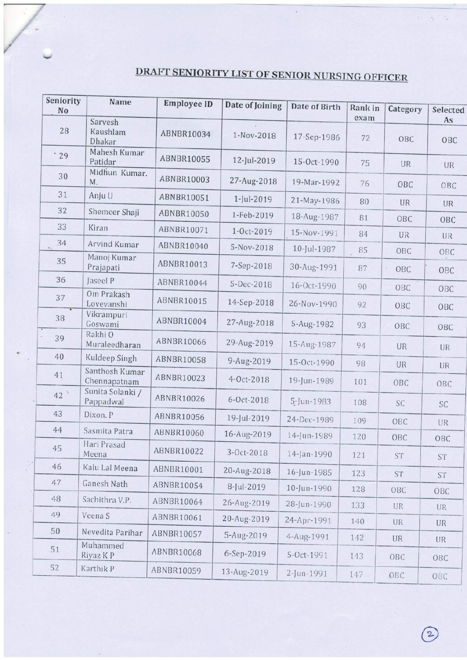# DRAFT SENIORITY LIST OF SENIOR NURSING OFFICER

 $\lambda$ 

| Seniority<br>No | Name                           | <b>Employee ID</b> | Date of Joining | Date of Birth | Rank in    | Category  | Selected                 |
|-----------------|--------------------------------|--------------------|-----------------|---------------|------------|-----------|--------------------------|
| 28              | Sarvesh<br>Kaushlam<br>Dhakar  | ABNBR10034         | 1-Nov-2018      | 17-Sep-1986   | exam<br>72 | OBC       | As<br>OBC                |
| .29             | Mahesh Kumar<br>Patidar        | ABNBR10055         | 12-Jul-2019     | 15-Oct-1990   | 75         | UR        | UR                       |
| 30              | Midhun Kumar.<br>M.            | ABNBR10003         | 27-Aug-2018     | 19-Mar-1992   | 76         | OBC       | OBC                      |
| 31              | Anju U                         | ABNBR10051         | 1-Jul-2019      | 21-May-1986   | 80         | <b>UR</b> | UR                       |
| 32              | Shemeer Shaji                  | ABNBR10050         | 1-Feb-2019      | 18-Aug-1987   | 81         | OBC       | OBC                      |
| 33              | Kiran                          | ABNBR10071         | 1-Oct-2019      | 15-Nov-1991   | 84         | UR        |                          |
| 34              | Arvind Kumar                   | ABNBR10040         | 5-Nov-2018      | 10-Jul-1987   | 85         | OBC       | UR                       |
| 35              | Manoj Kumar<br>Prajapati       | ABNBR10013         | 7-Sep-2018      | 30-Aug-1991   | 87         | OBC       | OBC<br>OBC               |
| 36              | Jaseel P                       | ABNBR10044         | 5-Dec-2018      | 16-Oct-1990   | 90         | OBC       | ОВС                      |
| 37              | Om Prakash<br>Lovevanshi       | <b>ABNBR10015</b>  | 14-Sep-2018     | 26-Nov-1990   | 92         | OBC       | OBC                      |
| 38              | Vikrampuri<br>Goswami          | ABNBR10004         | 27-Aug-2018     | 5-Aug-1982    | 93         | OBC       | ОВС                      |
| 39              | Rakhi O<br>Muraleedharan       | ABNBR10066         | 29-Aug-2019     | 15-Aug-1987   | 94         | UR        | <b>UR</b>                |
| 40              | Kuldeep Singh                  | <b>ABNBR10058</b>  | 9-Aug-2019      | 15-Oct-1990   | 98         | UR        | <b>UR</b>                |
| 41              | Santhosh Kumar<br>Chennapatnam | ABNBR10023         | 4-Oct-2018      | 19-Jun-1989   | 101        | OBC       | OBC                      |
| 42 <sup>°</sup> | Sunita Solanki /<br>Pappadwal  | ABNBR10026         | 6-Oct-2018      | 5-Jun-1983    | 108        | SC        | <b>SC</b>                |
| 43              | Dixon. P                       | ABNBR10056         | 19-Jul-2019     | 24-Dec-1989   | 109        | OBC       | UR                       |
| 44              | Sasmita Patra                  | ABNBR10060         | 16-Aug-2019     | 14-Jun-1989   | 120        | OBC       | OBC                      |
| 45              | Hari Prasad<br>Meena           | ABNBR10022         | 3-Oct-2018      | 14-Jan-1990   | 121        | <b>ST</b> | $\mathcal{S}\mathcal{T}$ |
| 46              | Kalu Lal Meena                 | ABNBR10001         | 20-Aug-2018     | 16-Jun-1985   | 123        | <b>ST</b> | <b>ST</b>                |
| 47              | Ganesh Nath                    | ABNBR10054         | 8-Jul-2019      | 10-Jun-1990   | 128        | OBC       | OBC                      |
| 48              | Sachithra V.P.                 | ABNBR10064         | 26-Aug-2019     | 28-Jun-1990   | 133        | <b>UR</b> | <b>UR</b>                |
| 49              | Veena S                        | ABNBR10061         | 20-Aug-2019     | 24-Apr-1991   | 140        | UR        | UR                       |
| 50              | Nevedita Parihar               | ABNBR10057         | 5-Aug-2019      | 4-Aug-1991    | 142        | <b>UR</b> | UR                       |
| 51              | Muhammed<br>Riyaz K P          | <b>ABNBR10068</b>  | 6-Sep-2019      | 5-Oct-1991    | 143        | OBC       | OBC                      |
| 52              | Karthik P                      | ABNBR10059         | 13-Aug-2019     | 2-Jun-1991    | 147        | OBC       | OBC                      |

 $\mathcal{L}_{\mathcal{A}}$  $\Delta$